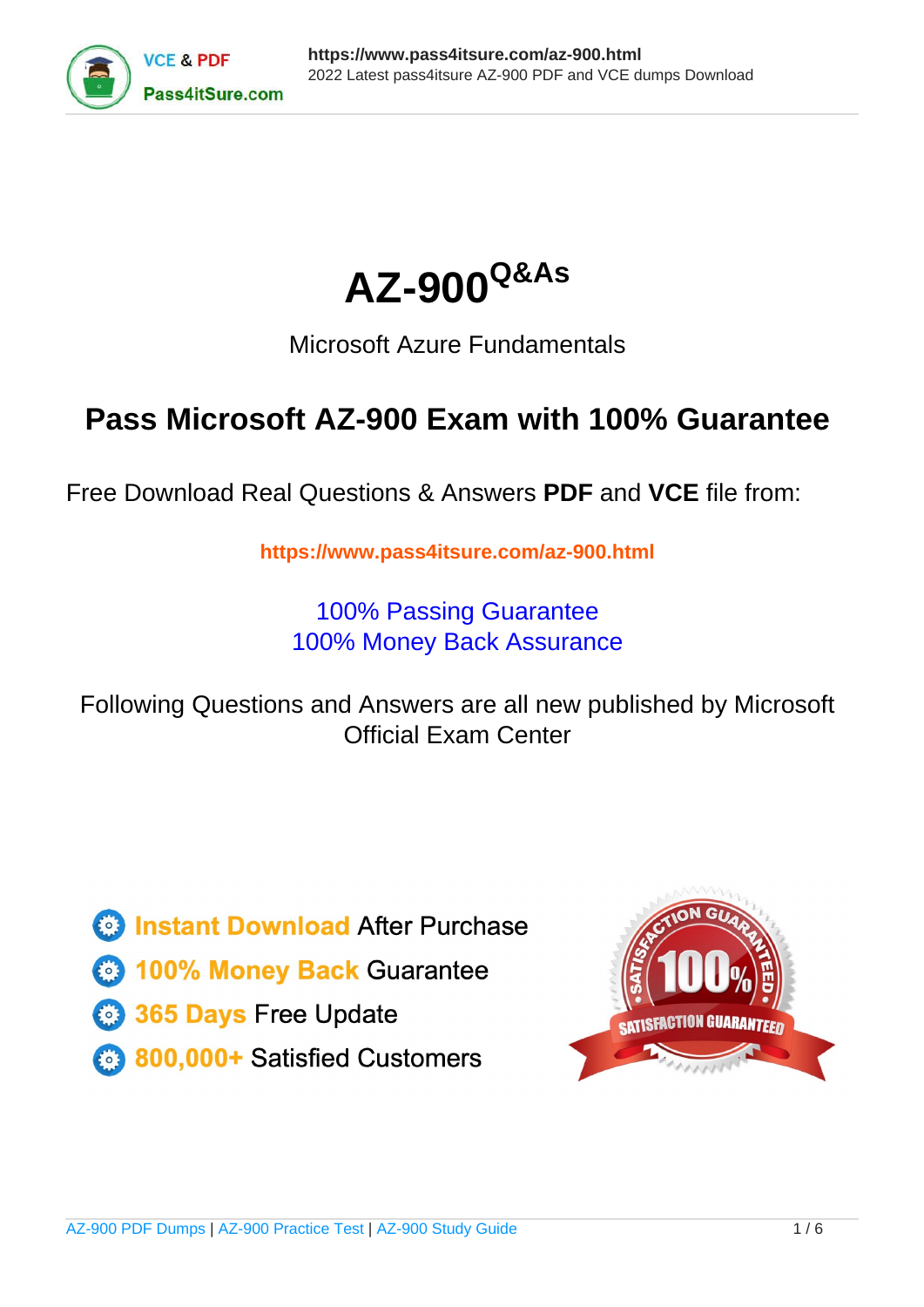



## Microsoft Azure Fundamentals

## **Pass Microsoft AZ-900 Exam with 100% Guarantee**

Free Download Real Questions & Answers **PDF** and **VCE** file from:

**https://www.pass4itsure.com/az-900.html**

100% Passing Guarantee 100% Money Back Assurance

Following Questions and Answers are all new published by Microsoft Official Exam Center

**C** Instant Download After Purchase

**83 100% Money Back Guarantee** 

- 365 Days Free Update
- 800,000+ Satisfied Customers

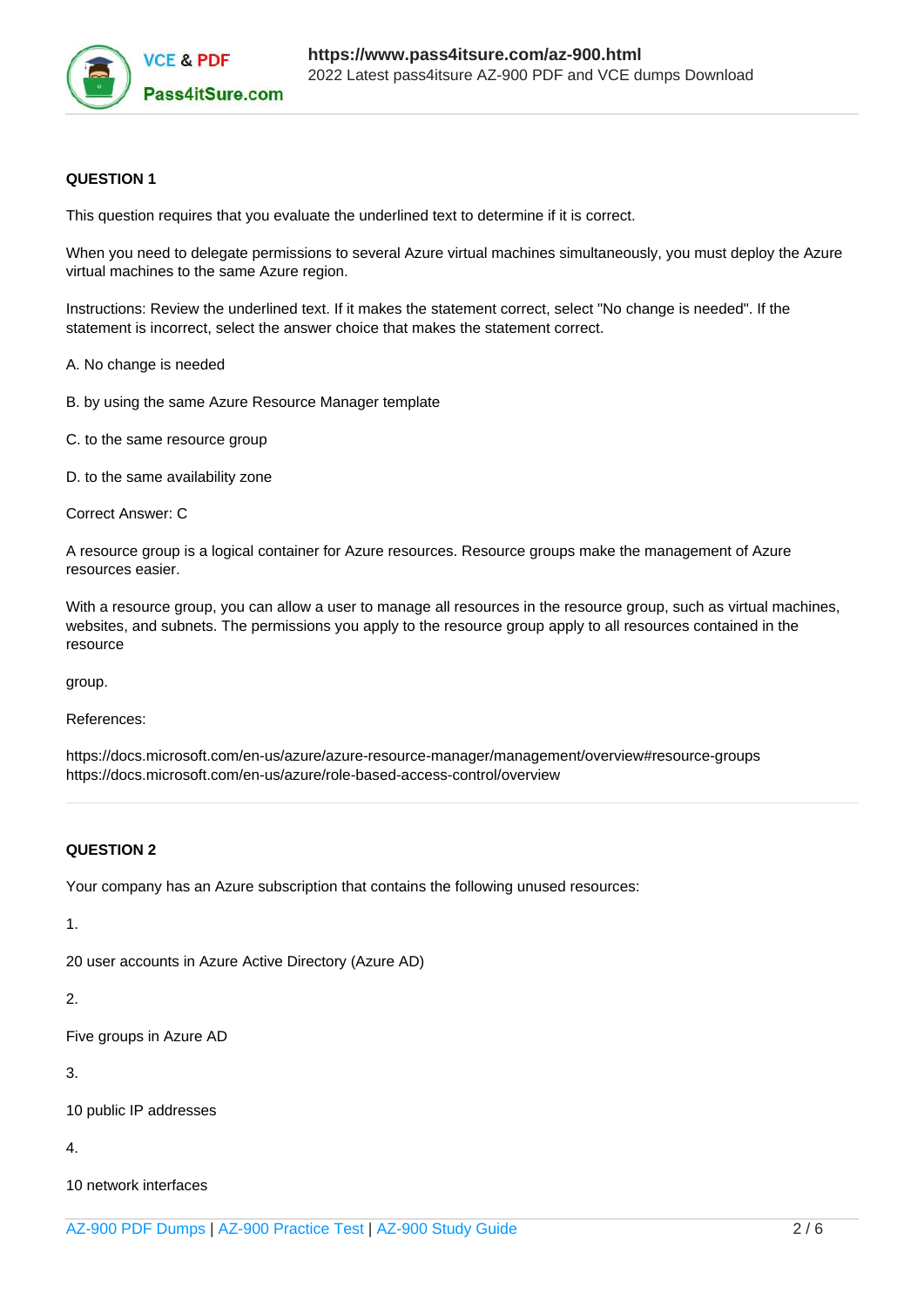

### **QUESTION 1**

This question requires that you evaluate the underlined text to determine if it is correct.

When you need to delegate permissions to several Azure virtual machines simultaneously, you must deploy the Azure virtual machines to the same Azure region.

Instructions: Review the underlined text. If it makes the statement correct, select "No change is needed". If the statement is incorrect, select the answer choice that makes the statement correct.

A. No change is needed

- B. by using the same Azure Resource Manager template
- C. to the same resource group
- D. to the same availability zone

Correct Answer: C

A resource group is a logical container for Azure resources. Resource groups make the management of Azure resources easier.

With a resource group, you can allow a user to manage all resources in the resource group, such as virtual machines, websites, and subnets. The permissions you apply to the resource group apply to all resources contained in the resource

group.

References:

https://docs.microsoft.com/en-us/azure/azure-resource-manager/management/overview#resource-groups https://docs.microsoft.com/en-us/azure/role-based-access-control/overview

### **QUESTION 2**

Your company has an Azure subscription that contains the following unused resources:

1.

20 user accounts in Azure Active Directory (Azure AD)

2.

Five groups in Azure AD

3.

10 public IP addresses

4.

10 network interfaces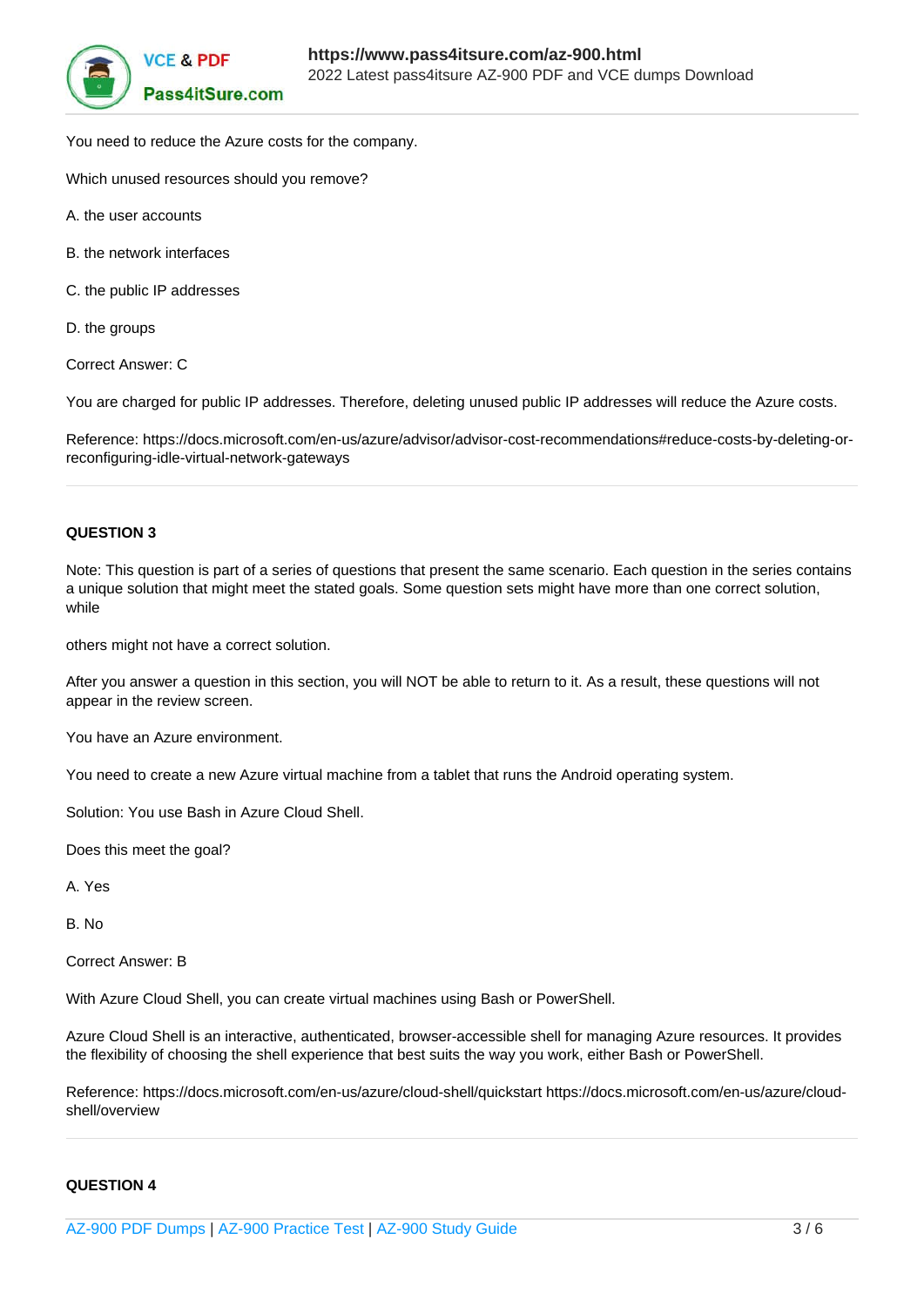

You need to reduce the Azure costs for the company.

Which unused resources should you remove?

- A. the user accounts
- B. the network interfaces
- C. the public IP addresses
- D. the groups

Correct Answer: C

You are charged for public IP addresses. Therefore, deleting unused public IP addresses will reduce the Azure costs.

Reference: https://docs.microsoft.com/en-us/azure/advisor/advisor-cost-recommendations#reduce-costs-by-deleting-orreconfiguring-idle-virtual-network-gateways

### **QUESTION 3**

Note: This question is part of a series of questions that present the same scenario. Each question in the series contains a unique solution that might meet the stated goals. Some question sets might have more than one correct solution, while

others might not have a correct solution.

After you answer a question in this section, you will NOT be able to return to it. As a result, these questions will not appear in the review screen.

You have an Azure environment.

You need to create a new Azure virtual machine from a tablet that runs the Android operating system.

Solution: You use Bash in Azure Cloud Shell.

Does this meet the goal?

A. Yes

B. No

Correct Answer: B

With Azure Cloud Shell, you can create virtual machines using Bash or PowerShell.

Azure Cloud Shell is an interactive, authenticated, browser-accessible shell for managing Azure resources. It provides the flexibility of choosing the shell experience that best suits the way you work, either Bash or PowerShell.

Reference: https://docs.microsoft.com/en-us/azure/cloud-shell/quickstart https://docs.microsoft.com/en-us/azure/cloudshell/overview

### **QUESTION 4**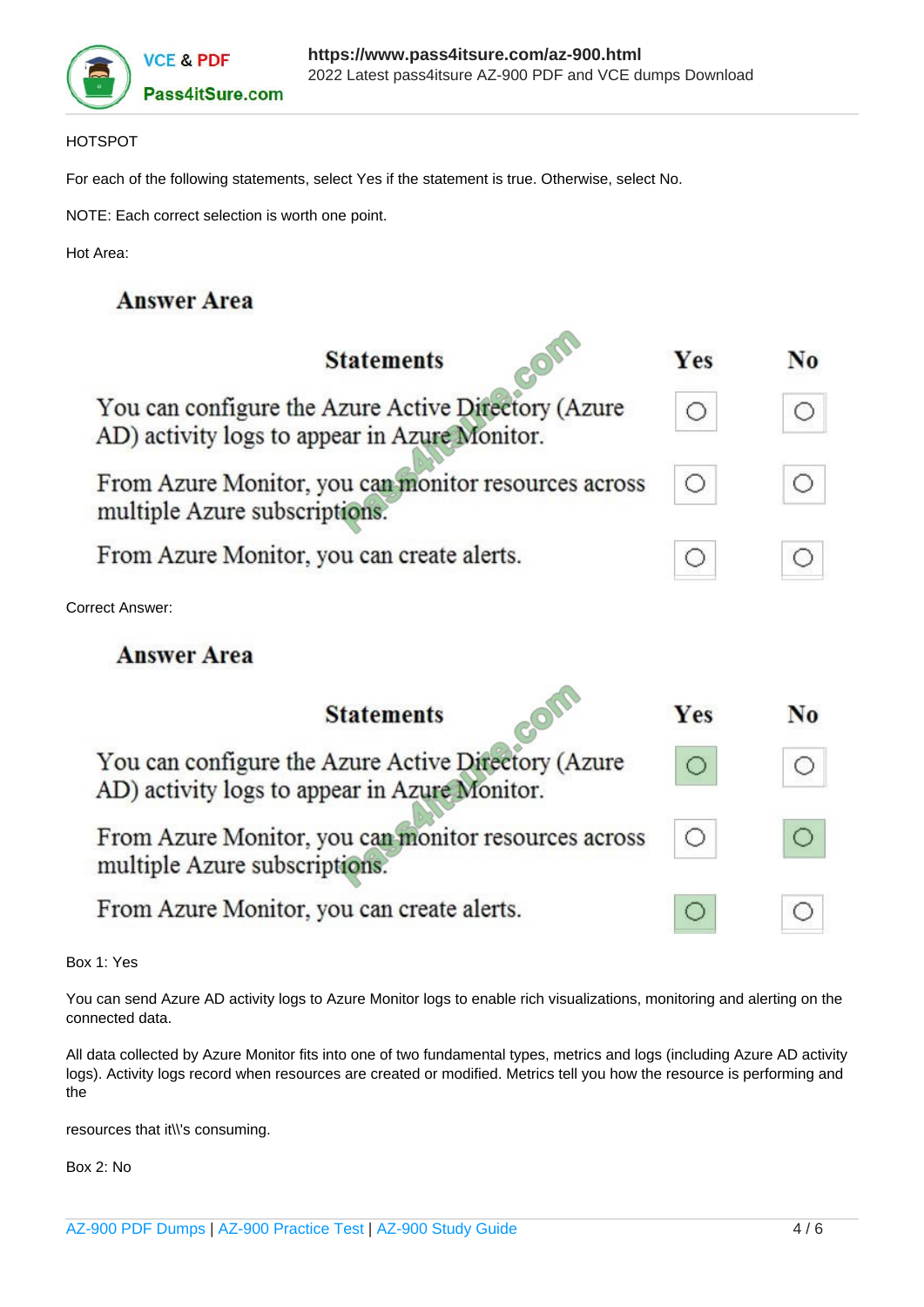

### HOTSPOT

For each of the following statements, select Yes if the statement is true. Otherwise, select No.

NOTE: Each correct selection is worth one point.

Hot Area:

### **Answer Area**

| <b>Statements</b>                                                                                    | <b>Yes</b> | N <sub>0</sub> |
|------------------------------------------------------------------------------------------------------|------------|----------------|
| You can configure the Azure Active Directory (Azure<br>AD) activity logs to appear in Azure Monitor. |            |                |
| From Azure Monitor, you can monitor resources across<br>multiple Azure subscriptions.                |            |                |
| From Azure Monitor, you can create alerts.                                                           |            |                |
| Correct Answer:                                                                                      |            |                |
| <b>Answer Area</b>                                                                                   |            |                |
| <b>Statements</b>                                                                                    | Yes        | No             |
| You can configure the Azure Active Directory (Azure<br>AD) activity logs to appear in Azure Monitor. |            |                |
| From Azure Monitor, you can monitor resources across<br>multiple Azure subscriptions.                |            |                |
| From Azure Monitor, you can create alerts.                                                           |            | ()             |

Box 1: Yes

You can send Azure AD activity logs to Azure Monitor logs to enable rich visualizations, monitoring and alerting on the connected data.

All data collected by Azure Monitor fits into one of two fundamental types, metrics and logs (including Azure AD activity logs). Activity logs record when resources are created or modified. Metrics tell you how the resource is performing and the

resources that it\\'s consuming.

Box 2: No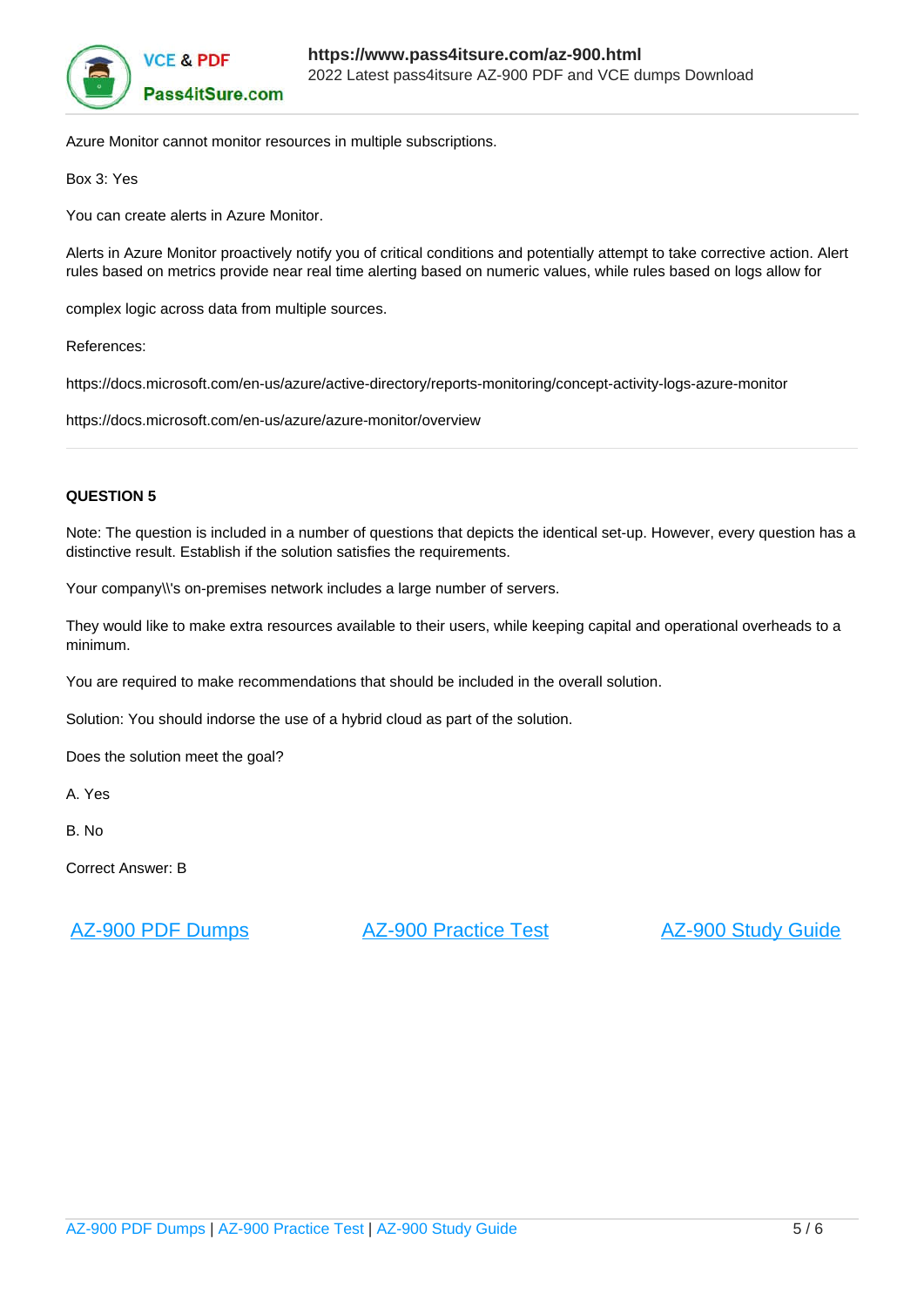

Azure Monitor cannot monitor resources in multiple subscriptions.

Box 3: Yes

You can create alerts in Azure Monitor.

Alerts in Azure Monitor proactively notify you of critical conditions and potentially attempt to take corrective action. Alert rules based on metrics provide near real time alerting based on numeric values, while rules based on logs allow for

complex logic across data from multiple sources.

References:

https://docs.microsoft.com/en-us/azure/active-directory/reports-monitoring/concept-activity-logs-azure-monitor

https://docs.microsoft.com/en-us/azure/azure-monitor/overview

### **QUESTION 5**

Note: The question is included in a number of questions that depicts the identical set-up. However, every question has a distinctive result. Establish if the solution satisfies the requirements.

Your company\\'s on-premises network includes a large number of servers.

They would like to make extra resources available to their users, while keeping capital and operational overheads to a minimum.

You are required to make recommendations that should be included in the overall solution.

Solution: You should indorse the use of a hybrid cloud as part of the solution.

Does the solution meet the goal?

A. Yes

B. No

Correct Answer: B

[AZ-900 PDF Dumps](https://www.pass4itsure.com/az-900.html) [AZ-900 Practice Test](https://www.pass4itsure.com/az-900.html) [AZ-900 Study Guide](https://www.pass4itsure.com/az-900.html)